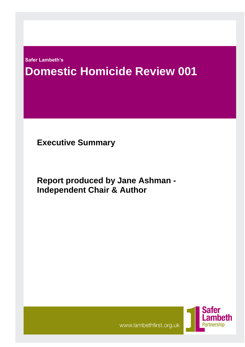**Safer Lambeth's**

# **Domestic Homicide Review 001 Domes**

**Executive Summary**

**Report produced by Jane Ashman - Independent Chair & Author**



www.lambethfirst.org.uk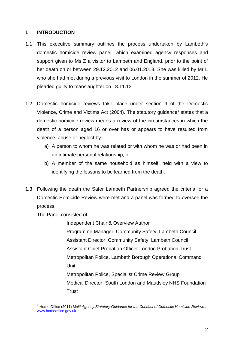# **1 INTRODUCTION**

- 1.1 This executive summary outlines the process undertaken by Lambeth's domestic homicide review panel, which examined agency responses and support given to Ms Z a visitor to Lambeth and England, prior to the point of her death on or between 29.12.2012 and 06.01.2013. She was killed by Mr L who she had met during a previous visit to London in the summer of 2012. He pleaded guilty to manslaughter on 18.11.13
- 1.2 Domestic homicide reviews take place under section 9 of the Domestic Violence, Crime and Victims Act (2004). The statutory guidance<sup>1</sup> states that a domestic homicide review means a review of the circumstances in which the death of a person aged 16 or over has or appears to have resulted from violence, abuse or neglect by
	- a) A person to whom he was related or with whom he was or had been in an intimate personal relationship, or
	- b) A member of the same household as himself, held with a view to identifying the lessons to be learned from the death.
- 1.3 Following the death the Safer Lambeth Partnership agreed the criteria for a Domestic Homicide Review were met and a panel was formed to oversee the process.

The Panel consisted of:

 $\overline{a}$ 

Independent Chair & Overview Author

Programme Manager, Community Safety, Lambeth Council Assistant Director, Community Safety, Lambeth Council Assistant Chief Probation Officer London Probation Trust Metropolitan Police, Lambeth Borough Operational Command Unit

Metropolitan Police, Specialist Crime Review Group Medical Director, South London and Maudsley NHS Foundation **Trust** 

<sup>&</sup>lt;sup>1</sup> Home Office (2011) Multi-Agency Statutory Guidance for the Conduct of Domestic Homicide Reviews. [www.homeoffice.gov.uk](http://www.homeoffice.gov.uk/)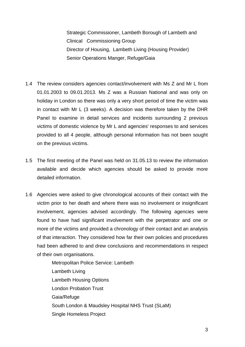Strategic Commissioner, Lambeth Borough of Lambeth and Clinical Commissioning Group Director of Housing, Lambeth Living (Housing Provider) Senior Operations Manger, Refuge/Gaia

- 1.4 The review considers agencies contact/involvement with Ms Z and Mr L from 01.01.2003 to 09.01.2013. Ms Z was a Russian National and was only on holiday in London so there was only a very short period of time the victim was in contact with Mr L (3 weeks). A decision was therefore taken by the DHR Panel to examine in detail services and incidents surrounding 2 previous victims of domestic violence by Mr L and agencies' responses to and services provided to all 4 people, although personal information has not been sought on the previous victims.
- 1.5 The first meeting of the Panel was held on 31.05.13 to review the information available and decide which agencies should be asked to provide more detailed information.
- 1.6 Agencies were asked to give chronological accounts of their contact with the victim prior to her death and where there was no involvement or insignificant involvement, agencies advised accordingly. The following agencies were found to have had significant involvement with the perpetrator and one or more of the victims and provided a chronology of their contact and an analysis of that interaction. They considered how far their own policies and procedures had been adhered to and drew conclusions and recommendations in respect of their own organisations.

Metropolitan Police Service: Lambeth Lambeth Living Lambeth Housing Options London Probation Trust Gaia/Refuge South London & Maudsley Hospital NHS Trust (SLaM) Single Homeless Project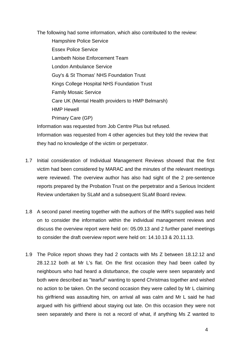The following had some information, which also contributed to the review:

Hampshire Police Service Essex Police Service Lambeth Noise Enforcement Team London Ambulance Service Guy's & St Thomas' NHS Foundation Trust Kings College Hospital NHS Foundation Trust Family Mosaic Service Care UK (Mental Health providers to HMP Belmarsh) HMP Hewell Primary Care (GP) Information was requested from Job Centre Plus but refused.

Information was requested from 4 other agencies but they told the review that they had no knowledge of the victim or perpetrator.

- 1.7 Initial consideration of Individual Management Reviews showed that the first victim had been considered by MARAC and the minutes of the relevant meetings were reviewed. The overview author has also had sight of the 2 pre-sentence reports prepared by the Probation Trust on the perpetrator and a Serious Incident Review undertaken by SLaM and a subsequent SLaM Board review.
- 1.8 A second panel meeting together with the authors of the IMR's supplied was held on to consider the information within the individual management reviews and discuss the overview report were held on: 05.09.13 and 2 further panel meetings to consider the draft overview report were held on: 14.10.13 & 20.11.13.
- 1.9 The Police report shows they had 2 contacts with Ms Z between 18.12.12 and 28.12.12 both at Mr L's flat. On the first occasion they had been called by neighbours who had heard a disturbance, the couple were seen separately and both were described as "tearful" wanting to spend Christmas together and wished no action to be taken. On the second occasion they were called by Mr L claiming his girlfriend was assaulting him, on arrival all was calm and Mr L said he had argued with his girlfriend about staying out late. On this occasion they were not seen separately and there is not a record of what, if anything Ms Z wanted to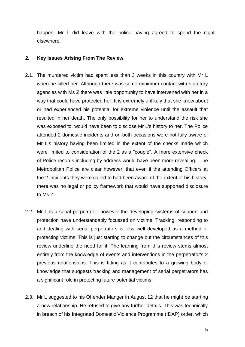happen. Mr L did leave with the police having agreed to spend the night elsewhere.

#### **2. Key Issues Arising From The Review**

- 2.1. The murdered victim had spent less than 3 weeks in this country with Mr L when he killed her. Although there was some minimum contact with statutory agencies with Ms Z there was little opportunity to have intervened with her in a way that could have protected her. It is extremely unlikely that she knew about or had experienced his potential for extreme violence until the assault that resulted in her death. The only possibility for her to understand the risk she was exposed to, would have been to disclose Mr L's history to her. The Police attended 2 domestic incidents and on both occasions were not fully aware of Mr L's history having been limited in the extent of the checks made which were limited to consideration of the 2 as a "couple". A more extensive check of Police records including by address would have been more revealing. The Metropolitan Police are clear however, that even if the attending Officers at the 2 incidents they were called to had been aware of the extent of his history, there was no legal or policy framework that would have supported disclosure to Ms Z.
- 2.2. Mr L is a serial perpetrator, however the developing systems of support and protection have understandably focussed on victims. Tracking, responding to and dealing with serial perpetrators is less well developed as a method of protecting victims. This is just starting to change but the circumstances of this review underline the need for it. The learning from this review stems almost entirely from the knowledge of events and interventions in the perpetrator's 2 previous relationships. This is fitting as it contributes to a growing body of knowledge that suggests tracking and management of serial perpetrators has a significant role in protecting future potential victims.
- 2.3. Mr L suggested to his Offender Manger in August 12 that he might be starting a new relationship. He refused to give any further details. This was technically in breach of his Integrated Domestic Violence Programme (IDAP) order, which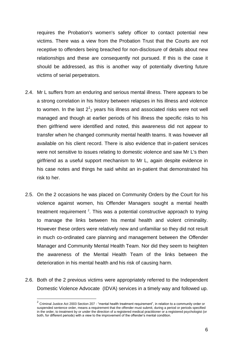requires the Probation's women's safety officer to contact potential new victims. There was a view from the Probation Trust that the Courts are not receptive to offenders being breached for non-disclosure of details about new relationships and these are consequently not pursued. If this is the case it should be addressed, as this is another way of potentially diverting future victims of serial perpetrators.

- 2.4. Mr L suffers from an enduring and serious mental illness. There appears to be a strong correlation in his history between relapses in his illness and violence to women. In the last  $2^1$ <sub>2</sub> years his illness and associated risks were not well managed and though at earlier periods of his illness the specific risks to his then girlfriend were identified and noted, this awareness did not appear to transfer when he changed community mental health teams. It was however all available on his client record. There is also evidence that in-patient services were not sensitive to issues relating to domestic violence and saw Mr L's then girlfriend as a useful support mechanism to Mr L, again despite evidence in his case notes and things he said whilst an in-patient that demonstrated his risk to her.
- 2.5. On the 2 occasions he was placed on Community Orders by the Court for his violence against women, his Offender Managers sought a mental health treatment requirement  $2$ . This was a potential constructive approach to trying to manage the links between his mental health and violent criminality. However these orders were relatively new and unfamiliar so they did not result in much co-ordinated care planning and management between the Offender Manager and Community Mental Health Team. Nor did they seem to heighten the awareness of the Mental Health Team of the links between the deterioration in his mental health and his risk of causing harm.
- 2.6. Both of the 2 previous victims were appropriately referred to the Independent Domestic Violence Advocate (IDVA) services in a timely way and followed up.

 $\overline{a}$ 

 $2$  Criminal Justice Act 2003 Section 207 - "mental health treatment requirement", in relation to a community order or suspended sentence order, means a requirement that the offender must submit, during a period or periods specified in the order, to treatment by or under the direction of a registered medical practitioner or a registered psychologist (or both, for different periods) with a view to the improvement of the offender's mental condition.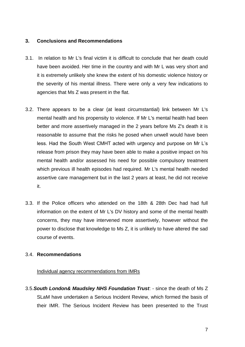#### **3. Conclusions and Recommendations**

- 3.1. In relation to Mr L's final victim it is difficult to conclude that her death could have been avoided. Her time in the country and with Mr L was very short and it is extremely unlikely she knew the extent of his domestic violence history or the severity of his mental illness. There were only a very few indications to agencies that Ms Z was present in the flat.
- 3.2. There appears to be a clear (at least circumstantial) link between Mr L's mental health and his propensity to violence. If Mr L's mental health had been better and more assertively managed in the 2 years before Ms Z's death it is reasonable to assume that the risks he posed when unwell would have been less. Had the South West CMHT acted with urgency and purpose on Mr L's release from prison they may have been able to make a positive impact on his mental health and/or assessed his need for possible compulsory treatment which previous ill health episodes had required. Mr L's mental health needed assertive care management but in the last 2 years at least, he did not receive it.
- 3.3. If the Police officers who attended on the 18th & 28th Dec had had full information on the extent of Mr L's DV history and some of the mental health concerns, they may have intervened more assertively, however without the power to disclose that knowledge to Ms Z, it is unlikely to have altered the sad course of events.

# 3.4. **Recommendations**

#### Individual agency recommendations from IMRs

3.5.*South London& Maudsley NHS Foundation Trust*: - since the death of Ms Z SLaM have undertaken a Serious Incident Review, which formed the basis of their IMR. The Serious Incident Review has been presented to the Trust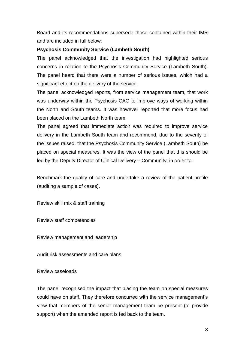Board and its recommendations supersede those contained within their IMR and are included in full below:

#### **Psychosis Community Service (Lambeth South)**

The panel acknowledged that the investigation had highlighted serious concerns in relation to the Psychosis Community Service (Lambeth South). The panel heard that there were a number of serious issues, which had a significant effect on the delivery of the service.

The panel acknowledged reports, from service management team, that work was underway within the Psychosis CAG to improve ways of working within the North and South teams. It was however reported that more focus had been placed on the Lambeth North team.

The panel agreed that immediate action was required to improve service delivery in the Lambeth South team and recommend, due to the severity of the issues raised, that the Psychosis Community Service (Lambeth South) be placed on special measures. It was the view of the panel that this should be led by the Deputy Director of Clinical Delivery – Community, in order to:

Benchmark the quality of care and undertake a review of the patient profile (auditing a sample of cases).

Review skill mix & staff training

Review staff competencies

Review management and leadership

Audit risk assessments and care plans

Review caseloads

The panel recognised the impact that placing the team on special measures could have on staff. They therefore concurred with the service management's view that members of the senior management team be present (to provide support) when the amended report is fed back to the team.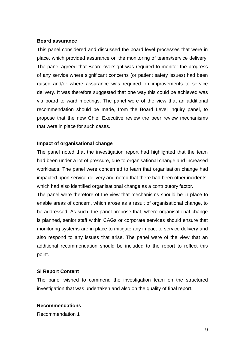#### **Board assurance**

This panel considered and discussed the board level processes that were in place, which provided assurance on the monitoring of teams/service delivery. The panel agreed that Board oversight was required to monitor the progress of any service where significant concerns (or patient safety issues) had been raised and/or where assurance was required on improvements to service delivery. It was therefore suggested that one way this could be achieved was via board to ward meetings. The panel were of the view that an additional recommendation should be made, from the Board Level Inquiry panel, to propose that the new Chief Executive review the peer review mechanisms that were in place for such cases.

#### **Impact of organisational change**

The panel noted that the investigation report had highlighted that the team had been under a lot of pressure, due to organisational change and increased workloads. The panel were concerned to learn that organisation change had impacted upon service delivery and noted that there had been other incidents, which had also identified organisational change as a contributory factor.

The panel were therefore of the view that mechanisms should be in place to enable areas of concern, which arose as a result of organisational change, to be addressed. As such, the panel propose that, where organisational change is planned, senior staff within CAGs or corporate services should ensure that monitoring systems are in place to mitigate any impact to service delivery and also respond to any issues that arise. The panel were of the view that an additional recommendation should be included to the report to reflect this point.

#### **SI Report Content**

The panel wished to commend the investigation team on the structured investigation that was undertaken and also on the quality of final report.

# **Recommendations**

Recommendation 1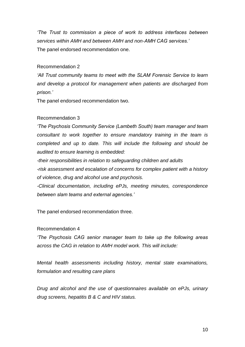*'The Trust to commission a piece of work to address interfaces between services within AMH and between AMH and non-AMH CAG services.'*  The panel endorsed recommendation one.

#### Recommendation 2

*'All Trust community teams to meet with the SLAM Forensic Service to learn and develop a protocol for management when patients are discharged from prison.'*

The panel endorsed recommendation two.

# Recommendation 3

*'The Psychosis Community Service (Lambeth South) team manager and team consultant to work together to ensure mandatory training in the team is completed and up to date. This will include the following and should be audited to ensure learning is embedded:* 

*-their responsibilities in relation to safeguarding children and adults -risk assessment and escalation of concerns for complex patient with a history of violence, drug and alcohol use and psychosis.* 

*-Clinical documentation, including ePJs, meeting minutes, correspondence between slam teams and external agencies.'* 

The panel endorsed recommendation three.

# Recommendation 4

*'The Psychosis CAG senior manager team to take up the following areas across the CAG in relation to AMH model work. This will include:* 

*Mental health assessments including history, mental state examinations, formulation and resulting care plans* 

*Drug and alcohol and the use of questionnaires available on ePJs, urinary drug screens, hepatitis B & C and HIV status.*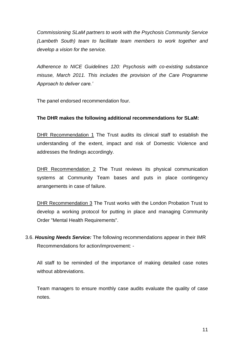*Commissioning SLaM partners to work with the Psychosis Community Service (Lambeth South) team to facilitate team members to work together and develop a vision for the service.* 

*Adherence to NICE Guidelines 120: Psychosis with co-existing substance misuse, March 2011. This includes the provision of the Care Programme Approach to deliver care.'* 

The panel endorsed recommendation four.

# **The DHR makes the following additional recommendations for SLaM:**

DHR Recommendation 1 The Trust audits its clinical staff to establish the understanding of the extent, impact and risk of Domestic Violence and addresses the findings accordingly.

DHR Recommendation 2 The Trust reviews its physical communication systems at Community Team bases and puts in place contingency arrangements in case of failure.

DHR Recommendation 3 The Trust works with the London Probation Trust to develop a working protocol for putting in place and managing Community Order "Mental Health Requirements".

3.6. *Housing Needs Service:* The following recommendations appear in their IMR Recommendations for action/improvement: -

All staff to be reminded of the importance of making detailed case notes without abbreviations.

Team managers to ensure monthly case audits evaluate the quality of case notes.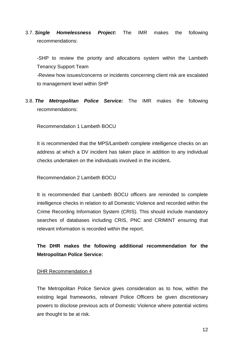3.7. *Single Homelessness Project:* The IMR makes the following recommendations:

-SHP to review the priority and allocations system within the Lambeth Tenancy Support Team -Review how issues/concerns or incidents concerning client risk are escalated

to management level within SHP

3.8. *The Metropolitan Police Service:* The IMR makes the following recommendations:

Recommendation 1 Lambeth BOCU

It is recommended that the MPS/Lambeth complete intelligence checks on an address at which a DV incident has taken place in addition to any individual checks undertaken on the individuals involved in the incident**.**

#### Recommendation 2 Lambeth BOCU

It is recommended that Lambeth BOCU officers are reminded to complete intelligence checks in relation to all Domestic Violence and recorded within the Crime Recording Information System (CRIS). This should include mandatory searches of databases including CRIS, PNC and CRIMINT ensuring that relevant information is recorded within the report.

# **The DHR makes the following additional recommendation for the Metropolitan Police Service:**

#### DHR Recommendation 4

The Metropolitan Police Service gives consideration as to how, within the existing legal frameworks, relevant Police Officers be given discretionary powers to disclose previous acts of Domestic Violence where potential victims are thought to be at risk.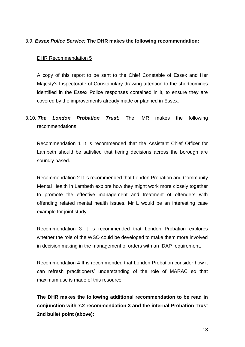# 3.9. *Essex Police Service:* **The DHR makes the following recommendation:**

#### DHR Recommendation 5

A copy of this report to be sent to the Chief Constable of Essex and Her Majesty's Inspectorate of Constabulary drawing attention to the shortcomings identified in the Essex Police responses contained in it, to ensure they are covered by the improvements already made or planned in Essex.

3.10. *The London Probation Trust:* The IMR makes the following recommendations:

Recommendation 1 It is recommended that the Assistant Chief Officer for Lambeth should be satisfied that tiering decisions across the borough are soundly based.

Recommendation 2 It is recommended that London Probation and Community Mental Health in Lambeth explore how they might work more closely together to promote the effective management and treatment of offenders with offending related mental health issues. Mr L would be an interesting case example for joint study.

Recommendation 3 It is recommended that London Probation explores whether the role of the WSO could be developed to make them more involved in decision making in the management of orders with an IDAP requirement.

Recommendation 4 It is recommended that London Probation consider how it can refresh practitioners' understanding of the role of MARAC so that maximum use is made of this resource

**The DHR makes the following additional recommendation to be read in conjunction with 7.2 recommendation 3 and the internal Probation Trust 2nd bullet point (above):**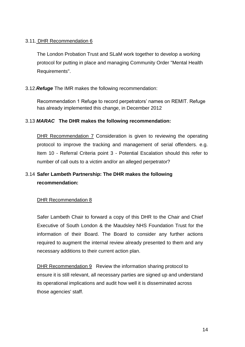# 3.11. DHR Recommendation 6

The London Probation Trust and SLaM work together to develop a working protocol for putting in place and managing Community Order "Mental Health Requirements".

# 3.12.*Refuge* The IMR makes the following recommendation:

Recommendation 1 Refuge to record perpetrators' names on REMIT. Refuge has already implemented this change, in December 2012

# 3.13 *MARAC* **The DHR makes the following recommendation:**

DHR Recommendation 7 Consideration is given to reviewing the operating protocol to improve the tracking and management of serial offenders. e.g. Item 10 - Referral Criteria point 3 - Potential Escalation should this refer to number of call outs to a victim and/or an alleged perpetrator?

# 3.14 **Safer Lambeth Partnership: The DHR makes the following recommendation:**

# DHR Recommendation 8

Safer Lambeth Chair to forward a copy of this DHR to the Chair and Chief Executive of South London & the Maudsley NHS Foundation Trust for the information of their Board. The Board to consider any further actions required to augment the internal review already presented to them and any necessary additions to their current action plan.

DHR Recommendation 9 Review the information sharing protocol to ensure it is still relevant, all necessary parties are signed up and understand its operational implications and audit how well it is disseminated across those agencies' staff.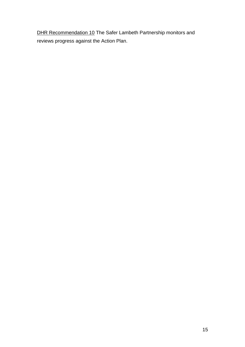DHR Recommendation 10 The Safer Lambeth Partnership monitors and reviews progress against the Action Plan.